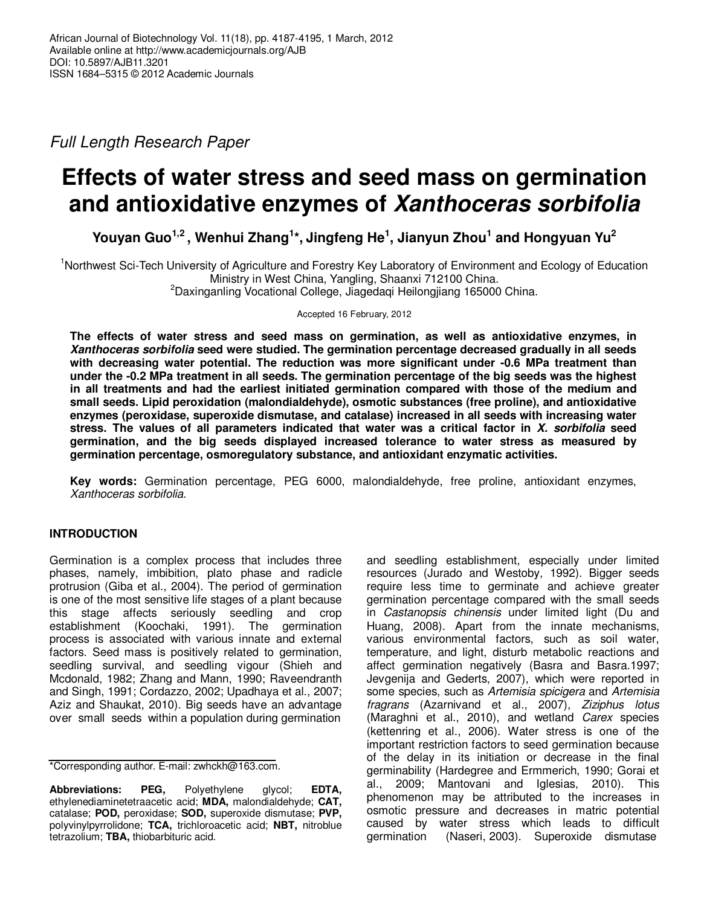Full Length Research Paper

# **Effects of water stress and seed mass on germination and antioxidative enzymes of Xanthoceras sorbifolia**

**Youyan Guo1,2 , Wenhui Zhang<sup>1</sup> \*, Jingfeng He<sup>1</sup> , Jianyun Zhou<sup>1</sup> and Hongyuan Yu<sup>2</sup>**

<sup>1</sup>Northwest Sci-Tech University of Agriculture and Forestry Key Laboratory of Environment and Ecology of Education Ministry in West China, Yangling, Shaanxi 712100 China. <sup>2</sup>Daxinganling Vocational College, Jiagedaqi Heilongjiang 165000 China.

Accepted 16 February, 2012

**The effects of water stress and seed mass on germination, as well as antioxidative enzymes, in Xanthoceras sorbifolia seed were studied. The germination percentage decreased gradually in all seeds with decreasing water potential. The reduction was more significant under -0.6 MPa treatment than under the -0.2 MPa treatment in all seeds. The germination percentage of the big seeds was the highest in all treatments and had the earliest initiated germination compared with those of the medium and small seeds. Lipid peroxidation (malondialdehyde), osmotic substances (free proline), and antioxidative enzymes (peroxidase, superoxide dismutase, and catalase) increased in all seeds with increasing water stress. The values of all parameters indicated that water was a critical factor in X. sorbifolia seed germination, and the big seeds displayed increased tolerance to water stress as measured by germination percentage, osmoregulatory substance, and antioxidant enzymatic activities.** 

**Key words:** Germination percentage, PEG 6000, malondialdehyde, free proline, antioxidant enzymes, Xanthoceras sorbifolia.

# **INTRODUCTION**

Germination is a complex process that includes three phases, namely, imbibition, plato phase and radicle protrusion (Giba et al., 2004). The period of germination is one of the most sensitive life stages of a plant because this stage affects seriously seedling and crop establishment (Koochaki, 1991). The germination process is associated with various innate and external factors. Seed mass is positively related to germination, seedling survival, and seedling vigour (Shieh and Mcdonald, 1982; Zhang and Mann, 1990; Raveendranth and Singh, 1991; Cordazzo, 2002; Upadhaya et al., 2007; Aziz and Shaukat, 2010). Big seeds have an advantage over small seeds within a population during germination

\*Corresponding author. E-mail: zwhckh@163.com.

**Abbreviations: PEG,** Polyethylene glycol; **EDTA,** ethylenediaminetetraacetic acid; **MDA,** malondialdehyde; **CAT,** catalase; **POD,** peroxidase; **SOD,** superoxide dismutase; **PVP,** polyvinylpyrrolidone; **TCA,** trichloroacetic acid; **NBT,** nitroblue tetrazolium; **TBA,** thiobarbituric acid.

and seedling establishment, especially under limited resources (Jurado and Westoby, 1992). Bigger seeds require less time to germinate and achieve greater germination percentage compared with the small seeds in Castanopsis chinensis under limited light (Du and Huang, 2008). Apart from the innate mechanisms, various environmental factors, such as soil water, temperature, and light, disturb metabolic reactions and affect germination negatively (Basra and Basra.1997; Jevgenija and Gederts, 2007), which were reported in some species, such as Artemisia spicigera and Artemisia fragrans (Azarnivand et al., 2007), Ziziphus lotus (Maraghni et al., 2010), and wetland Carex species (kettenring et al., 2006). Water stress is one of the important restriction factors to seed germination because of the delay in its initiation or decrease in the final germinability (Hardegree and Ermmerich, 1990; Gorai et al., 2009; Mantovani and Iglesias, 2010). This phenomenon may be attributed to the increases in osmotic pressure and decreases in matric potential caused by water stress which leads to difficult germination (Naseri, 2003). Superoxide dismutase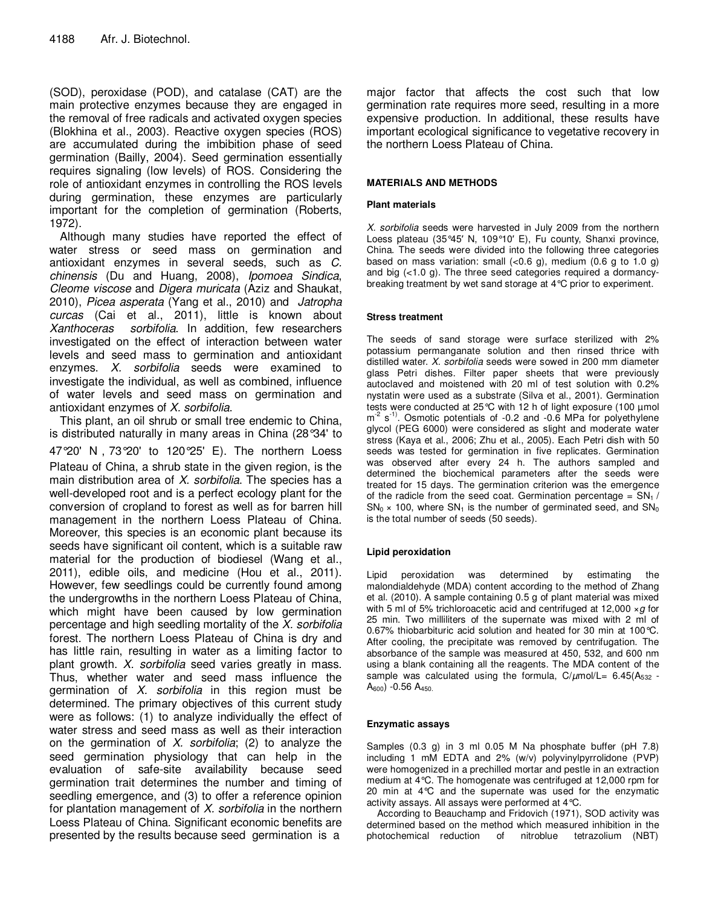(SOD), peroxidase (POD), and catalase (CAT) are the main protective enzymes because they are engaged in the removal of free radicals and activated oxygen species (Blokhina et al., 2003). Reactive oxygen species (ROS) are accumulated during the imbibition phase of seed germination (Bailly, 2004). Seed germination essentially requires signaling (low levels) of ROS. Considering the role of antioxidant enzymes in controlling the ROS levels during germination, these enzymes are particularly important for the completion of germination (Roberts, 1972).

Although many studies have reported the effect of water stress or seed mass on germination and antioxidant enzymes in several seeds, such as C. chinensis (Du and Huang, 2008), Ipomoea Sindica, Cleome viscose and Digera muricata (Aziz and Shaukat, 2010), Picea asperata (Yang et al., 2010) and Jatropha curcas (Cai et al., 2011), little is known about Xanthoceras sorbifolia. In addition, few researchers investigated on the effect of interaction between water levels and seed mass to germination and antioxidant enzymes. X. sorbifolia seeds were examined to investigate the individual, as well as combined, influence of water levels and seed mass on germination and antioxidant enzymes of X. sorbifolia.

This plant, an oil shrub or small tree endemic to China, is distributed naturally in many areas in China (28°34' to 47°20' N,73°20' to 120°25' E). The northern Loess Plateau of China, a shrub state in the given region, is the main distribution area of  $X$ . sorbifolia. The species has a well-developed root and is a perfect ecology plant for the conversion of cropland to forest as well as for barren hill management in the northern Loess Plateau of China. Moreover, this species is an economic plant because its seeds have significant oil content, which is a suitable raw material for the production of biodiesel (Wang et al., 2011), edible oils, and medicine (Hou et al., 2011). However, few seedlings could be currently found among the undergrowths in the northern Loess Plateau of China, which might have been caused by low germination percentage and high seedling mortality of the  $X$ . sorbifolia forest. The northern Loess Plateau of China is dry and has little rain, resulting in water as a limiting factor to plant growth. X. sorbifolia seed varies greatly in mass. Thus, whether water and seed mass influence the germination of  $X$ . sorbifolia in this region must be determined. The primary objectives of this current study were as follows: (1) to analyze individually the effect of water stress and seed mass as well as their interaction on the germination of  $X$ . sorbifolia; (2) to analyze the seed germination physiology that can help in the evaluation of safe-site availability because seed germination trait determines the number and timing of seedling emergence, and (3) to offer a reference opinion for plantation management of X. sorbifolia in the northern Loess Plateau of China. Significant economic benefits are presented by the results because seed germination is a

major factor that affects the cost such that low germination rate requires more seed, resulting in a more expensive production. In additional, these results have important ecological significance to vegetative recovery in the northern Loess Plateau of China.

## **MATERIALS AND METHODS**

## **Plant materials**

X. sorbifolia seeds were harvested in July 2009 from the northern Loess plateau (35°45′ N, 109°10′ E), Fu county, Shanxi province, China. The seeds were divided into the following three categories based on mass variation: small  $(<0.6 \text{ g})$ , medium  $(0.6 \text{ g to } 1.0 \text{ g})$ and big (<1.0 g). The three seed categories required a dormancybreaking treatment by wet sand storage at 4°C prior to experiment.

#### **Stress treatment**

The seeds of sand storage were surface sterilized with 2% potassium permanganate solution and then rinsed thrice with distilled water. X. sorbifolia seeds were sowed in 200 mm diameter glass Petri dishes. Filter paper sheets that were previously autoclaved and moistened with 20 ml of test solution with 0.2% nystatin were used as a substrate (Silva et al., 2001). Germination tests were conducted at 25°C with 12 h of light exposure (100 µmol  $m<sup>-2</sup>$  s<sup>-1)</sup>. Osmotic potentials of -0.2 and -0.6 MPa for polyethylene glycol (PEG 6000) were considered as slight and moderate water stress (Kaya et al., 2006; Zhu et al., 2005). Each Petri dish with 50 seeds was tested for germination in five replicates. Germination was observed after every 24 h. The authors sampled and determined the biochemical parameters after the seeds were treated for 15 days. The germination criterion was the emergence of the radicle from the seed coat. Germination percentage =  $SN<sub>1</sub>$ /  $SN_0 \times 100$ , where  $SN_1$  is the number of germinated seed, and  $SN_0$ is the total number of seeds (50 seeds).

## **Lipid peroxidation**

Lipid peroxidation was determined by estimating the malondialdehyde (MDA) content according to the method of Zhang et al. (2010). A sample containing 0.5 g of plant material was mixed with 5 ml of 5% trichloroacetic acid and centrifuged at 12,000  $\times$  g for 25 min. Two milliliters of the supernate was mixed with 2 ml of 0.67% thiobarbituric acid solution and heated for 30 min at 100°C. After cooling, the precipitate was removed by centrifugation. The absorbance of the sample was measured at 450, 532, and 600 nm using a blank containing all the reagents. The MDA content of the sample was calculated using the formula,  $C/\mu$ mol/L= 6.45(A<sub>532</sub> - $A_{600}$ ) -0.56  $A_{450}$ .

## **Enzymatic assays**

Samples (0.3 g) in 3 ml 0.05 M Na phosphate buffer (pH 7.8) including 1 mM EDTA and 2% (w/v) polyvinylpyrrolidone (PVP) were homogenized in a prechilled mortar and pestle in an extraction medium at 4°C. The homogenate was centrifuged at 12,000 rpm for 20 min at 4°C and the supernate was used for the enzymatic activity assays. All assays were performed at 4°C.

According to Beauchamp and Fridovich (1971), SOD activity was determined based on the method which measured inhibition in the photochemical reduction of nitroblue tetrazolium (NBT)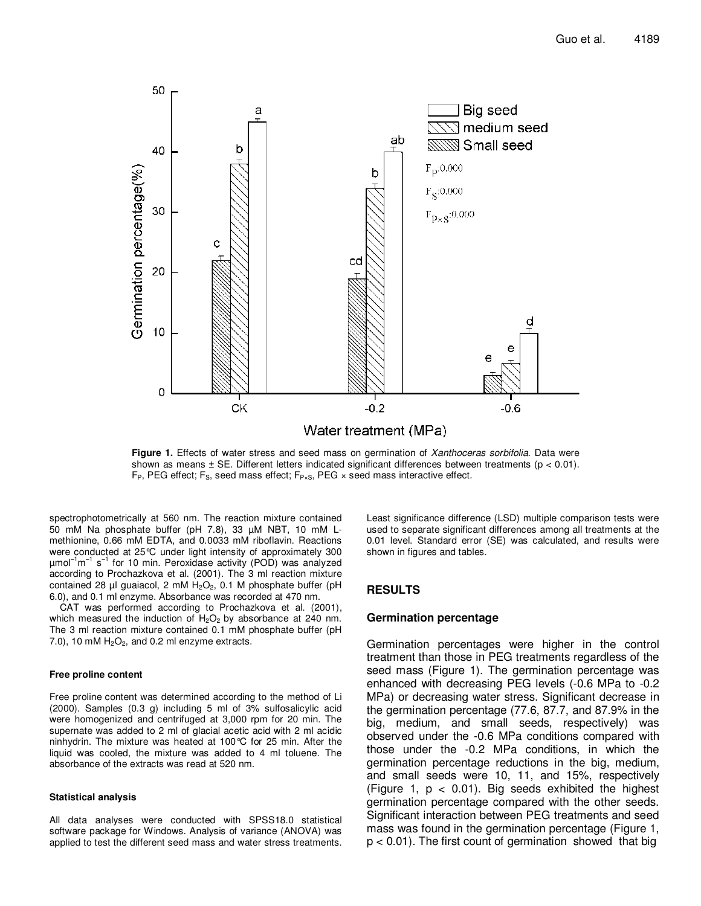

Figure 1. Effects of water stress and seed mass on germination of Xanthoceras sorbifolia. Data were shown as means  $\pm$  SE. Different letters indicated significant differences between treatments ( $p < 0.01$ ).  $F_P$ , PEG effect;  $F_S$ , seed mass effect;  $F_{P \times S}$ , PEG  $\times$  seed mass interactive effect.

spectrophotometrically at 560 nm. The reaction mixture contained 50 mM Na phosphate buffer (pH 7.8), 33 µM NBT, 10 mM Lmethionine, 0.66 mM EDTA, and 0.0033 mM riboflavin. Reactions were conducted at 25°C under light intensity of approximately 300 µmol<sup>-1</sup>m<sup>-1</sup> s<sup>-1</sup> for 10 min. Peroxidase activity (POD) was analyzed according to Prochazkova et al. (2001). The 3 ml reaction mixture contained 28  $\mu$ l guaiacol, 2 mM H<sub>2</sub>O<sub>2</sub>, 0.1 M phosphate buffer (pH 6.0), and 0.1 ml enzyme. Absorbance was recorded at 470 nm.

CAT was performed according to Prochazkova et al. (2001), which measured the induction of  $H_2O_2$  by absorbance at 240 nm. The 3 ml reaction mixture contained 0.1 mM phosphate buffer (pH 7.0), 10 mM  $H<sub>2</sub>O<sub>2</sub>$ , and 0.2 ml enzyme extracts.

#### **Free proline content**

Free proline content was determined according to the method of Li (2000). Samples (0.3 g) including 5 ml of 3% sulfosalicylic acid were homogenized and centrifuged at 3,000 rpm for 20 min. The supernate was added to 2 ml of glacial acetic acid with 2 ml acidic ninhydrin. The mixture was heated at 100°C for 25 min. After the liquid was cooled, the mixture was added to 4 ml toluene. The absorbance of the extracts was read at 520 nm.

#### **Statistical analysis**

All data analyses were conducted with SPSS18.0 statistical software package for Windows. Analysis of variance (ANOVA) was applied to test the different seed mass and water stress treatments.

Least significance difference (LSD) multiple comparison tests were used to separate significant differences among all treatments at the 0.01 level. Standard error (SE) was calculated, and results were shown in figures and tables.

## **RESULTS**

#### **Germination percentage**

Germination percentages were higher in the control treatment than those in PEG treatments regardless of the seed mass (Figure 1). The germination percentage was enhanced with decreasing PEG levels (-0.6 MPa to -0.2 MPa) or decreasing water stress. Significant decrease in the germination percentage (77.6, 87.7, and 87.9% in the big, medium, and small seeds, respectively) was observed under the -0.6 MPa conditions compared with those under the -0.2 MPa conditions, in which the germination percentage reductions in the big, medium, and small seeds were 10, 11, and 15%, respectively (Figure 1,  $p < 0.01$ ). Big seeds exhibited the highest germination percentage compared with the other seeds. Significant interaction between PEG treatments and seed mass was found in the germination percentage (Figure 1, p < 0.01). The first count of germination showed that big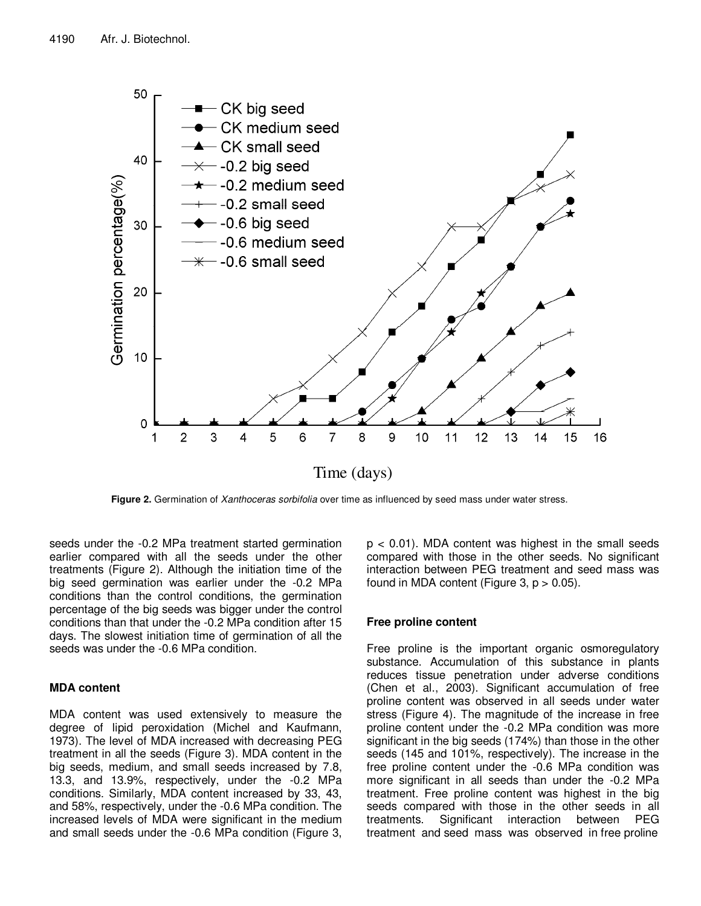

**Figure 2.** Germination of *Xanthoceras sorbifolia* over time as influenced by seed mass under water stress.

seeds under the -0.2 MPa treatment started germination earlier compared with all the seeds under the other treatments (Figure 2). Although the initiation time of the big seed germination was earlier under the -0.2 MPa conditions than the control conditions, the germination percentage of the big seeds was bigger under the control conditions than that under the -0.2 MPa condition after 15 days. The slowest initiation time of germination of all the seeds was under the -0.6 MPa condition.

## **MDA content**

MDA content was used extensively to measure the degree of lipid peroxidation (Michel and Kaufmann, 1973). The level of MDA increased with decreasing PEG treatment in all the seeds (Figure 3). MDA content in the big seeds, medium, and small seeds increased by 7.8, 13.3, and 13.9%, respectively, under the -0.2 MPa conditions. Similarly, MDA content increased by 33, 43, and 58%, respectively, under the -0.6 MPa condition. The increased levels of MDA were significant in the medium and small seeds under the -0.6 MPa condition (Figure 3,

 $p < 0.01$ ). MDA content was highest in the small seeds compared with those in the other seeds. No significant interaction between PEG treatment and seed mass was found in MDA content (Figure 3,  $p > 0.05$ ).

## **Free proline content**

Free proline is the important organic osmoregulatory substance. Accumulation of this substance in plants reduces tissue penetration under adverse conditions (Chen et al., 2003). Significant accumulation of free proline content was observed in all seeds under water stress (Figure 4). The magnitude of the increase in free proline content under the -0.2 MPa condition was more significant in the big seeds (174%) than those in the other seeds (145 and 101%, respectively). The increase in the free proline content under the -0.6 MPa condition was more significant in all seeds than under the -0.2 MPa treatment. Free proline content was highest in the big seeds compared with those in the other seeds in all treatments. Significant interaction between PEG treatment and seed mass was observed in free proline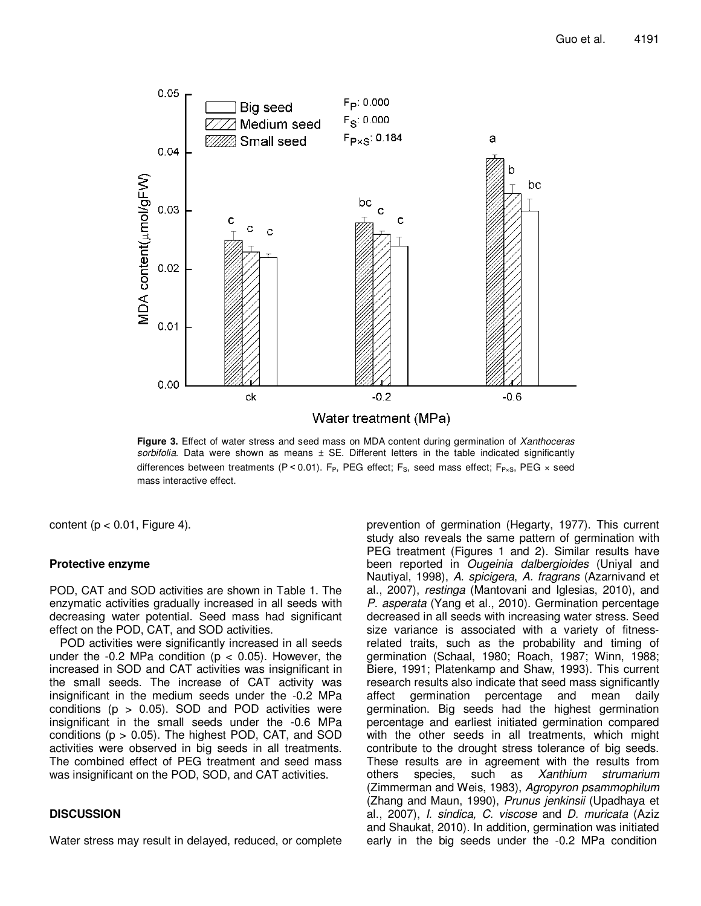

**Figure 3.** Effect of water stress and seed mass on MDA content during germination of Xanthoceras sorbifolia. Data were shown as means  $\pm$  SE. Different letters in the table indicated significantly differences between treatments (P < 0.01). F<sub>P</sub>, PEG effect; F<sub>S</sub>, seed mass effect; F<sub>P×S</sub>, PEG × seed mass interactive effect.

content ( $p < 0.01$ , Figure 4).

## **Protective enzyme**

POD, CAT and SOD activities are shown in Table 1. The enzymatic activities gradually increased in all seeds with decreasing water potential. Seed mass had significant effect on the POD, CAT, and SOD activities.

POD activities were significantly increased in all seeds under the  $-0.2$  MPa condition ( $p < 0.05$ ). However, the increased in SOD and CAT activities was insignificant in the small seeds. The increase of CAT activity was insignificant in the medium seeds under the -0.2 MPa conditions ( $p > 0.05$ ). SOD and POD activities were insignificant in the small seeds under the -0.6 MPa conditions ( $p > 0.05$ ). The highest POD, CAT, and SOD activities were observed in big seeds in all treatments. The combined effect of PEG treatment and seed mass was insignificant on the POD, SOD, and CAT activities.

## **DISCUSSION**

Water stress may result in delayed, reduced, or complete

prevention of germination (Hegarty, 1977). This current study also reveals the same pattern of germination with PEG treatment (Figures 1 and 2). Similar results have been reported in *Ougeinia dalbergioides* (Uniyal and Nautiyal, 1998), A. spicigera, A. fragrans (Azarnivand et al., 2007), restinga (Mantovani and Iglesias, 2010), and P. asperata (Yang et al., 2010). Germination percentage decreased in all seeds with increasing water stress. Seed size variance is associated with a variety of fitnessrelated traits, such as the probability and timing of germination (Schaal, 1980; Roach, 1987; Winn, 1988; Biere, 1991; Platenkamp and Shaw, 1993). This current research results also indicate that seed mass significantly affect germination percentage and mean daily germination. Big seeds had the highest germination percentage and earliest initiated germination compared with the other seeds in all treatments, which might contribute to the drought stress tolerance of big seeds. These results are in agreement with the results from others species, such as Xanthium strumarium (Zimmerman and Weis, 1983), Agropyron psammophilum (Zhang and Maun, 1990), Prunus jenkinsii (Upadhaya et al., 2007), I. sindica, C. viscose and D. muricata (Aziz and Shaukat, 2010). In addition, germination was initiated early in the big seeds under the -0.2 MPa condition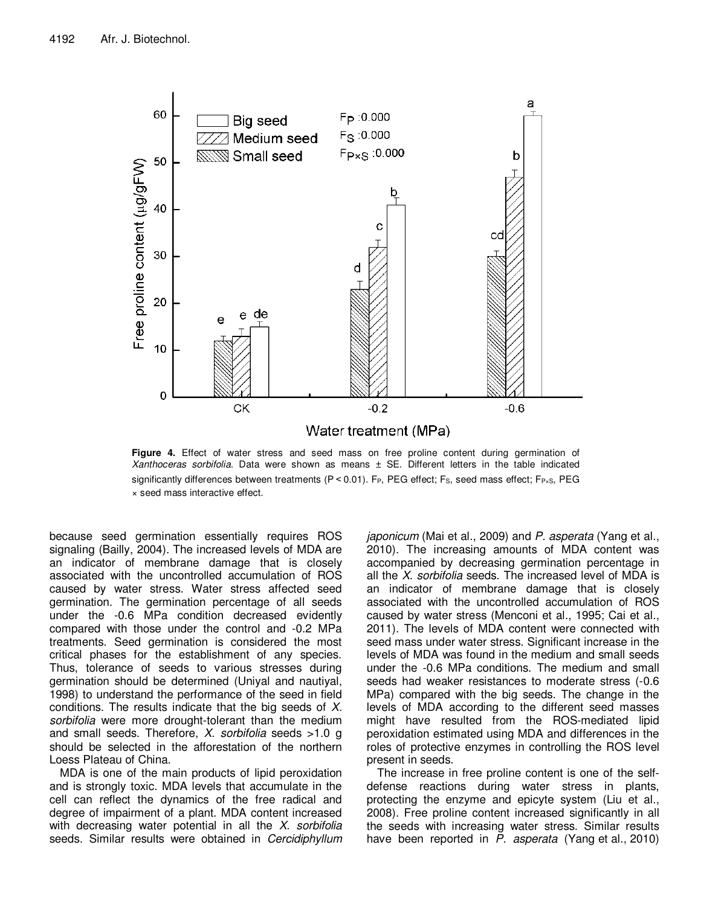

**Figure 4.** Effect of water stress and seed mass on free proline content during germination of Xanthoceras sorbifolia. Data were shown as means ± SE. Different letters in the table indicated significantly differences between treatments ( $P < 0.01$ ). F<sub>P</sub>, PEG effect; F<sub>S</sub>, seed mass effect; F<sub>P×S</sub>, PEG × seed mass interactive effect.

because seed germination essentially requires ROS signaling (Bailly, 2004). The increased levels of MDA are an indicator of membrane damage that is closely associated with the uncontrolled accumulation of ROS caused by water stress. Water stress affected seed germination. The germination percentage of all seeds under the -0.6 MPa condition decreased evidently compared with those under the control and -0.2 MPa treatments. Seed germination is considered the most critical phases for the establishment of any species. Thus, tolerance of seeds to various stresses during germination should be determined (Uniyal and nautiyal, 1998) to understand the performance of the seed in field conditions. The results indicate that the big seeds of X. sorbifolia were more drought-tolerant than the medium and small seeds. Therefore, *X. sorbifolia* seeds  $>1.0$  g should be selected in the afforestation of the northern Loess Plateau of China.

MDA is one of the main products of lipid peroxidation and is strongly toxic. MDA levels that accumulate in the cell can reflect the dynamics of the free radical and degree of impairment of a plant. MDA content increased with decreasing water potential in all the  $X$ . sorbifolia seeds. Similar results were obtained in Cercidiphyllum

japonicum (Mai et al., 2009) and P. asperata (Yang et al., 2010). The increasing amounts of MDA content was accompanied by decreasing germination percentage in all the X. sorbifolia seeds. The increased level of MDA is an indicator of membrane damage that is closely associated with the uncontrolled accumulation of ROS caused by water stress (Menconi et al., 1995; Cai et al., 2011). The levels of MDA content were connected with seed mass under water stress. Significant increase in the levels of MDA was found in the medium and small seeds under the -0.6 MPa conditions. The medium and small seeds had weaker resistances to moderate stress (-0.6 MPa) compared with the big seeds. The change in the levels of MDA according to the different seed masses might have resulted from the ROS-mediated lipid peroxidation estimated using MDA and differences in the roles of protective enzymes in controlling the ROS level present in seeds.

The increase in free proline content is one of the selfdefense reactions during water stress in plants, protecting the enzyme and epicyte system (Liu et al., 2008). Free proline content increased significantly in all the seeds with increasing water stress. Similar results have been reported in  $\overline{P}$ . asperata (Yang et al., 2010)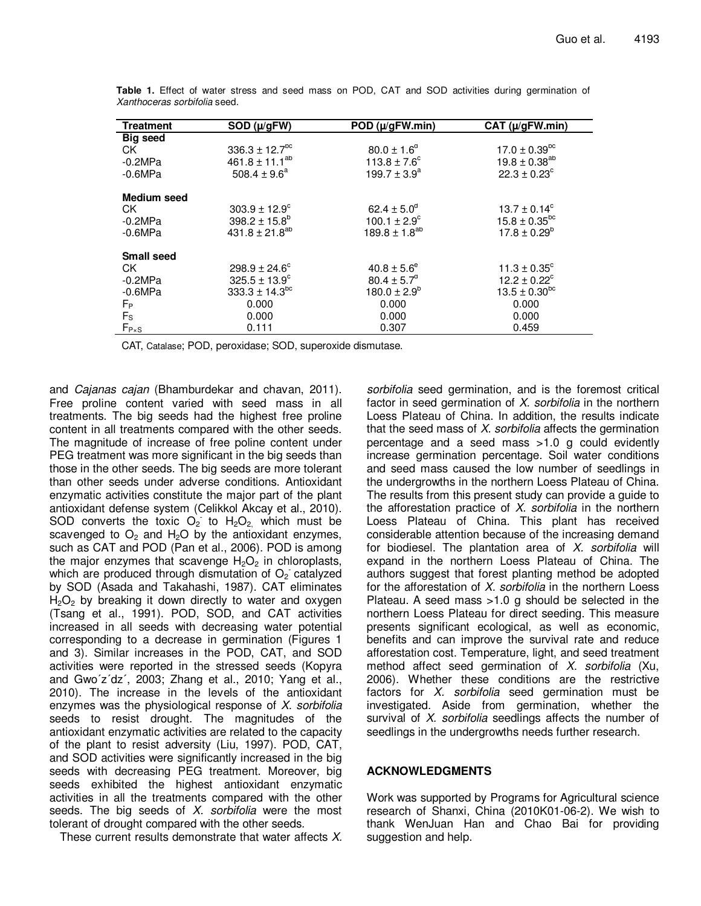| <b>Treatment</b>   | SOD ( $\mu$ /gFW)              | POD (µ/gFW.min)         | CAT (µ/gFW.min)          |
|--------------------|--------------------------------|-------------------------|--------------------------|
| <b>Big seed</b>    |                                |                         |                          |
| CK.                | $336.3 \pm 12.7$ <sup>bc</sup> | $80.0 \pm 1.6^{\circ}$  | $17.0 \pm 0.39^{\rm pc}$ |
| $-0.2MPa$          | 461.8 ± 11.1 <sup>ab</sup>     | $113.8 \pm 7.6^{\circ}$ | $19.8 \pm 0.38^{ab}$     |
| $-0.6MPa$          | 508.4 $\pm$ 9.6 <sup>a</sup>   | $199.7 \pm 3.9^a$       | $22.3 \pm 0.23^{\circ}$  |
| <b>Medium</b> seed |                                |                         |                          |
| CK.                | $303.9 \pm 12.9^{\circ}$       | $62.4 \pm 5.0^{\circ}$  | $13.7 \pm 0.14^c$        |
| $-0.2MPa$          | $398.2 \pm 15.8^b$             | $100.1 \pm 2.9^{\circ}$ | $15.8 \pm 0.35^{bc}$     |
| $-0.6MPa$          | $431.8 \pm 21.8^{ab}$          | $189.8 \pm 1.8^{ab}$    | $17.8 \pm 0.29^b$        |
| <b>Small seed</b>  |                                |                         |                          |
| СK                 | $298.9 \pm 24.6^{\circ}$       | $40.8 \pm 5.6^{\circ}$  | $11.3 \pm 0.35^{\circ}$  |
| $-0.2MPa$          | $325.5 \pm 13.9^c$             | $80.4 \pm 5.7^{\circ}$  | $12.2 \pm 0.22^{\circ}$  |
| $-0.6MPa$          | $333.3 \pm 14.3^{bc}$          | $180.0 \pm 2.9^b$       | $13.5 \pm 0.30^{bc}$     |
| $F_{\rm P}$        | 0.000                          | 0.000                   | 0.000                    |
| $F_{\rm S}$        | 0.000                          | 0.000                   | 0.000                    |
| $F_{P\times S}$    | 0.111                          | 0.307                   | 0.459                    |

**Table 1.** Effect of water stress and seed mass on POD, CAT and SOD activities during germination of Xanthoceras sorbifolia seed.

CAT, Catalase; POD, peroxidase; SOD, superoxide dismutase.

and Cajanas cajan (Bhamburdekar and chavan, 2011). Free proline content varied with seed mass in all treatments. The big seeds had the highest free proline content in all treatments compared with the other seeds. The magnitude of increase of free poline content under PEG treatment was more significant in the big seeds than those in the other seeds. The big seeds are more tolerant than other seeds under adverse conditions. Antioxidant enzymatic activities constitute the major part of the plant antioxidant defense system (Celikkol Akcay et al., 2010). SOD converts the toxic  $O_2$  to  $H_2O_2$  which must be scavenged to  $O_2$  and  $H_2O$  by the antioxidant enzymes, such as CAT and POD (Pan et al., 2006). POD is among the major enzymes that scavenge  $H_2O_2$  in chloroplasts, which are produced through dismutation of  $O<sub>2</sub>$  catalyzed by SOD (Asada and Takahashi, 1987). CAT eliminates  $H_2O_2$  by breaking it down directly to water and oxygen (Tsang et al., 1991). POD, SOD, and CAT activities increased in all seeds with decreasing water potential corresponding to a decrease in germination (Figures 1 and 3). Similar increases in the POD, CAT, and SOD activities were reported in the stressed seeds (Kopyra and Gwo´z´dz´, 2003; Zhang et al., 2010; Yang et al., 2010). The increase in the levels of the antioxidant enzymes was the physiological response of X. sorbifolia seeds to resist drought. The magnitudes of the antioxidant enzymatic activities are related to the capacity of the plant to resist adversity (Liu, 1997). POD, CAT, and SOD activities were significantly increased in the big seeds with decreasing PEG treatment. Moreover, big seeds exhibited the highest antioxidant enzymatic activities in all the treatments compared with the other seeds. The big seeds of  $X$ . sorbifolia were the most tolerant of drought compared with the other seeds.

These current results demonstrate that water affects X.

sorbifolia seed germination, and is the foremost critical factor in seed germination of  $X$ . sorbifolia in the northern Loess Plateau of China. In addition, the results indicate that the seed mass of  $X$ . sorbifolia affects the germination percentage and a seed mass >1.0 g could evidently increase germination percentage. Soil water conditions and seed mass caused the low number of seedlings in the undergrowths in the northern Loess Plateau of China. The results from this present study can provide a guide to the afforestation practice of  $X$ . sorbifolia in the northern Loess Plateau of China. This plant has received considerable attention because of the increasing demand for biodiesel. The plantation area of  $X$ . sorbifolia will expand in the northern Loess Plateau of China. The authors suggest that forest planting method be adopted for the afforestation of  $X$ . sorbifolia in the northern Loess Plateau. A seed mass >1.0 g should be selected in the northern Loess Plateau for direct seeding. This measure presents significant ecological, as well as economic, benefits and can improve the survival rate and reduce afforestation cost. Temperature, light, and seed treatment method affect seed germination of  $X$ . sorbifolia (Xu, 2006). Whether these conditions are the restrictive factors for  $X$ . sorbifolia seed germination must be investigated. Aside from germination, whether the survival of X. sorbifolia seedlings affects the number of seedlings in the undergrowths needs further research.

# **ACKNOWLEDGMENTS**

Work was supported by Programs for Agricultural science research of Shanxi, China (2010K01-06-2). We wish to thank WenJuan Han and Chao Bai for providing suggestion and help.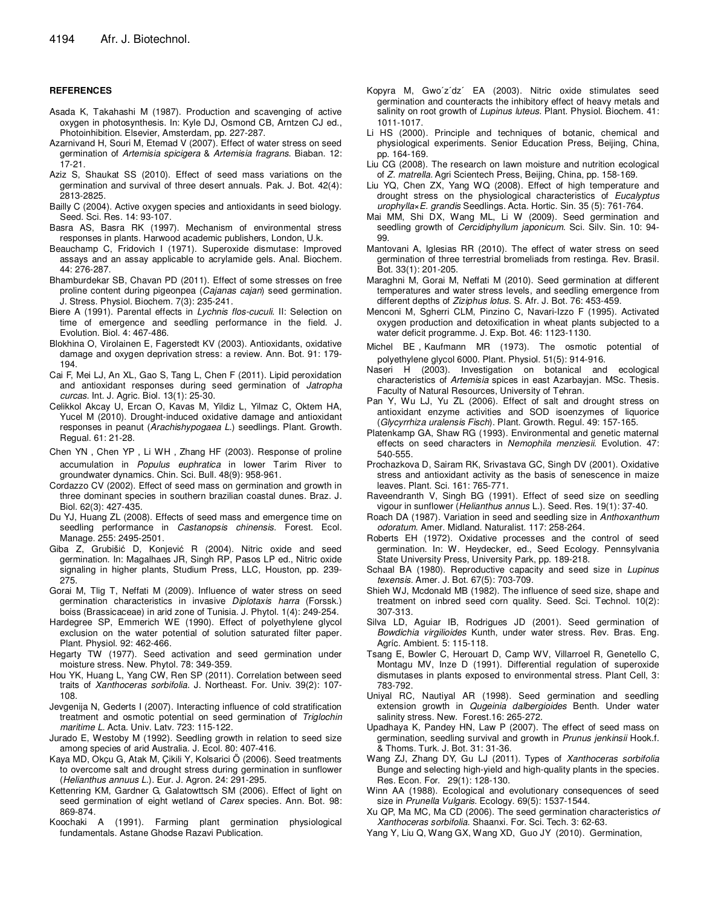#### **REFERENCES**

- Asada K, Takahashi M (1987). Production and scavenging of active oxygen in photosynthesis. In: Kyle DJ, Osmond CB, Arntzen CJ ed., Photoinhibition. Elsevier, Amsterdam, pp. 227-287.
- Azarnivand H, Souri M, Etemad V (2007). Effect of water stress on seed germination of Artemisia spicigera & Artemisia fragrans. Biaban. 12: 17-21.
- Aziz S, Shaukat SS (2010). Effect of seed mass variations on the germination and survival of three desert annuals. Pak. J. Bot. 42(4): 2813-2825.
- Bailly C (2004). Active oxygen species and antioxidants in seed biology. Seed. Sci. Res. 14: 93-107.
- Basra AS, Basra RK (1997). Mechanism of environmental stress responses in plants. Harwood academic publishers, London, U.k.
- Beauchamp C, Fridovich I (1971). Superoxide dismutase: Improved assays and an assay applicable to acrylamide gels. Anal. Biochem. 44: 276-287.
- Bhamburdekar SB, Chavan PD (2011). Effect of some stresses on free proline content during pigeonpea (Cajanas cajan) seed germination. J. Stress. Physiol. Biochem. 7(3): 235-241.
- Biere A (1991). Parental effects in Lychnis flos-cuculi. II: Selection on time of emergence and seedling performance in the field. J. Evolution. Biol. 4: 467-486.
- Blokhina O, Virolainen E, Fagerstedt KV (2003). Antioxidants, oxidative damage and oxygen deprivation stress: a review. Ann. Bot. 91: 179- 194.
- Cai F, Mei LJ, An XL, Gao S, Tang L, Chen F (2011). Lipid peroxidation and antioxidant responses during seed germination of Jatropha curcas. Int. J. Agric. Biol. 13(1): 25-30.
- Celikkol Akcay U, Ercan O, Kavas M, Yildiz L, Yilmaz C, Oktem HA, Yucel M (2010). Drought-induced oxidative damage and antioxidant responses in peanut (Arachishypogaea L.) seedlings. Plant. Growth. Regual. 61: 21-28.
- Chen YN, Chen YP, Li WH, Zhang HF (2003). Response of proline accumulation in Populus euphratica in lower Tarim River to groundwater dynamics. Chin. Sci. Bull. 48(9): 958-961.
- Cordazzo CV (2002). Effect of seed mass on germination and growth in three dominant species in southern brazilian coastal dunes. Braz. J. Biol. 62(3): 427-435.
- Du YJ, Huang ZL (2008). Effects of seed mass and emergence time on seedling performance in Castanopsis chinensis. Forest. Ecol. Manage. 255: 2495-2501.
- Giba Z, Grubišić D, Konjević R (2004). Nitric oxide and seed germination. In: Magalhaes JR, Singh RP, Pasos LP ed., Nitric oxide signaling in higher plants, Studium Press, LLC, Houston, pp. 239- 275.
- Gorai M, Tlig T, Neffati M (2009). Influence of water stress on seed germination characteristics in invasive Diplotaxis harra (Forssk.) boiss (Brassicaceae) in arid zone of Tunisia. J. Phytol. 1(4): 249-254.
- Hardegree SP, Emmerich WE (1990). Effect of polyethylene glycol exclusion on the water potential of solution saturated filter paper. Plant. Physiol. 92: 462-466.
- Hegarty TW (1977). Seed activation and seed germination under moisture stress. New. Phytol. 78: 349-359.
- Hou YK, Huang L, Yang CW, Ren SP (2011). Correlation between seed traits of Xanthoceras sorbifolia. J. Northeast. For. Univ. 39(2): 107- 108.
- Jevgenija N, Gederts I (2007). Interacting influence of cold stratification treatment and osmotic potential on seed germination of Triglochin maritime L. Acta. Univ. Latv. 723: 115-122.
- Jurado E, Westoby M (1992). Seedling growth in relation to seed size among species of arid Australia. J. Ecol. 80: 407-416.
- Kaya MD, Okçu G, Atak M, Çikili Y, Kolsarici Ö (2006). Seed treatments to overcome salt and drought stress during germination in sunflower (Helianthus annuus L.). Eur. J. Agron. 24: 291-295.
- Kettenring KM, Gardner G, Galatowttsch SM (2006). Effect of light on seed germination of eight wetland of Carex species. Ann. Bot. 98: 869-874.
- Koochaki A (1991). Farming plant germination physiological fundamentals. Astane Ghodse Razavi Publication.
- Kopyra M, Gwo´z´dz´ EA (2003). Nitric oxide stimulates seed germination and counteracts the inhibitory effect of heavy metals and salinity on root growth of Lupinus luteus. Plant. Physiol. Biochem. 41: 1011-1017.
- Li HS (2000). Principle and techniques of botanic, chemical and physiological experiments. Senior Education Press, Beijing, China, pp. 164-169.
- Liu CG (2008). The research on lawn moisture and nutrition ecological of Z. matrella. Agri Scientech Press, Beijing, China, pp. 158-169.
- Liu YQ, Chen ZX, Yang WQ (2008). Effect of high temperature and drought stress on the physiological characteristics of Eucalyptus urophylla×E. grandis Seedlings. Acta. Hortic. Sin. 35 (5): 761-764.
- Mai MM, Shi DX, Wang ML, Li W (2009). Seed germination and seedling growth of Cercidiphyllum japonicum. Sci. Silv. Sin. 10: 94-99.
- Mantovani A, Iglesias RR (2010). The effect of water stress on seed germination of three terrestrial bromeliads from restinga. Rev. Brasil. Bot. 33(1): 201-205.
- Maraghni M, Gorai M, Neffati M (2010). Seed germination at different temperatures and water stress levels, and seedling emergence from different depths of Ziziphus lotus. S. Afr. J. Bot. 76: 453-459.
- Menconi M, Sgherri CLM, Pinzino C, Navari-Izzo F (1995). Activated oxygen production and detoxification in wheat plants subjected to a water deficit programme. J. Exp. Bot. 46: 1123-1130.
- Michel BE,Kaufmann MR (1973). The osmotic potential of polyethylene glycol 6000. Plant. Physiol. 51(5): 914-916.
- Naseri H (2003). Investigation on botanical and ecological characteristics of Artemisia spices in east Azarbayjan. MSc. Thesis. Faculty of Natural Resources, University of Tehran.
- Pan Y, Wu LJ, Yu ZL (2006). Effect of salt and drought stress on antioxidant enzyme activities and SOD isoenzymes of liquorice (Glycyrrhiza uralensis Fisch). Plant. Growth. Regul. 49: 157-165.
- Platenkamp GA, Shaw RG (1993). Environmental and genetic maternal effects on seed characters in Nemophila menziesii. Evolution. 47: 540-555.
- Prochazkova D, Sairam RK, Srivastava GC, Singh DV (2001). Oxidative stress and antioxidant activity as the basis of senescence in maize leaves. Plant. Sci. 161: 765-771.
- Raveendranth V, Singh BG (1991). Effect of seed size on seedling vigour in sunflower (Helianthus annus L.). Seed. Res. 19(1): 37-40.
- Roach DA (1987). Variation in seed and seedling size in Anthoxanthum odoratum. Amer. Midland. Naturalist. 117: 258-264.
- Roberts EH (1972). Oxidative processes and the control of seed germination. In: W. Heydecker, ed., Seed Ecology. Pennsylvania State University Press, University Park, pp. 189-218.
- Schaal BA (1980). Reproductive capacity and seed size in Lupinus texensis. Amer. J. Bot. 67(5): 703-709.
- Shieh WJ, Mcdonald MB (1982). The influence of seed size, shape and treatment on inbred seed corn quality. Seed. Sci. Technol. 10(2): 307-313.
- Silva LD, Aguiar IB, Rodrigues JD (2001). Seed germination of Bowdichia virgilioides Kunth, under water stress. Rev. Bras. Eng. Agríc. Ambient. 5: 115-118.
- Tsang E, Bowler C, Herouart D, Camp WV, Villarroel R, Genetello C, Montagu MV, Inze D (1991). Differential regulation of superoxide dismutases in plants exposed to environmental stress. Plant Cell, 3: 783-792.
- Uniyal RC, Nautiyal AR (1998). Seed germination and seedling extension growth in Qugeinia dalbergioides Benth. Under water salinity stress. New. Forest.16: 265-272.
- Upadhaya K, Pandey HN, Law P (2007). The effect of seed mass on germination, seedling survival and growth in Prunus jenkinsii Hook.f. & Thoms. Turk. J. Bot. 31: 31-36.
- Wang ZJ, Zhang DY, Gu LJ (2011). Types of Xanthoceras sorbifolia Bunge and selecting high-yield and high-quality plants in the species. Res. Econ. For. 29(1): 128-130.
- Winn AA (1988). Ecological and evolutionary consequences of seed size in Prunella Vulgaris. Ecology. 69(5): 1537-1544.
- Xu QP, Ma MC, Ma CD (2006). The seed germination characteristics of Xanthoceras sorbifolia. Shaanxi. For. Sci. Tech. 3: 62-63.
- Yang Y, Liu Q, Wang GX, Wang XD, Guo JY (2010). Germination,